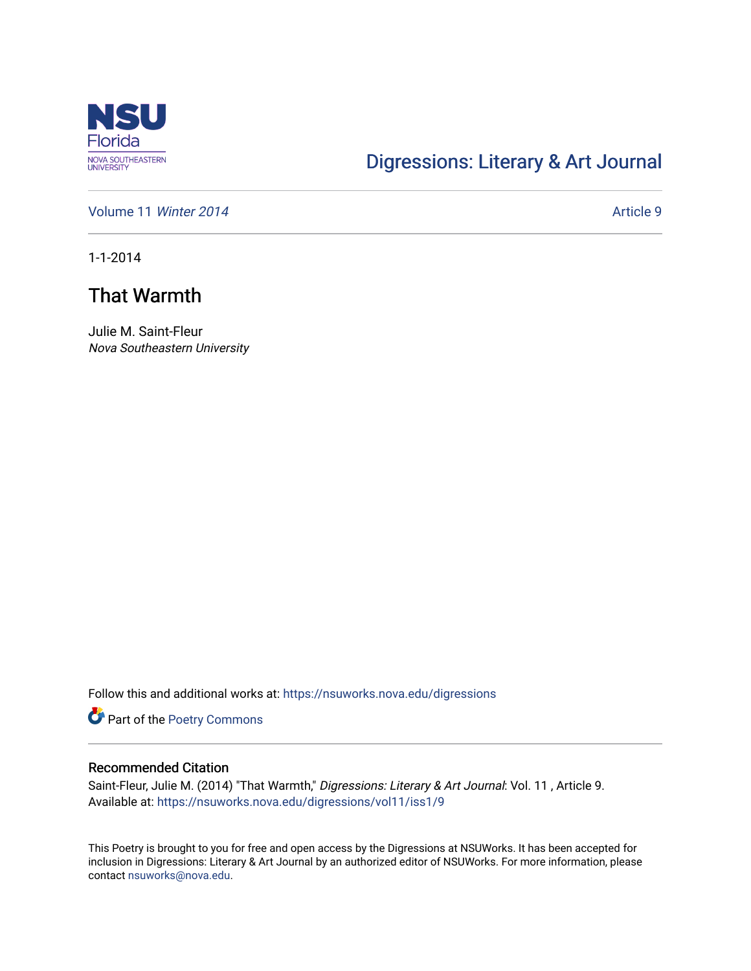

## [Digressions: Literary & Art Journal](https://nsuworks.nova.edu/digressions)

[Volume 11](https://nsuworks.nova.edu/digressions/vol11) Winter 2014 **Article 9** Article 9

1-1-2014

# That Warmth

Julie M. Saint-Fleur Nova Southeastern University

Follow this and additional works at: [https://nsuworks.nova.edu/digressions](https://nsuworks.nova.edu/digressions?utm_source=nsuworks.nova.edu%2Fdigressions%2Fvol11%2Fiss1%2F9&utm_medium=PDF&utm_campaign=PDFCoverPages) 

Part of the [Poetry Commons](http://network.bepress.com/hgg/discipline/1153?utm_source=nsuworks.nova.edu%2Fdigressions%2Fvol11%2Fiss1%2F9&utm_medium=PDF&utm_campaign=PDFCoverPages) 

#### Recommended Citation

Saint-Fleur, Julie M. (2014) "That Warmth," Digressions: Literary & Art Journal: Vol. 11, Article 9. Available at: [https://nsuworks.nova.edu/digressions/vol11/iss1/9](https://nsuworks.nova.edu/digressions/vol11/iss1/9?utm_source=nsuworks.nova.edu%2Fdigressions%2Fvol11%2Fiss1%2F9&utm_medium=PDF&utm_campaign=PDFCoverPages) 

This Poetry is brought to you for free and open access by the Digressions at NSUWorks. It has been accepted for inclusion in Digressions: Literary & Art Journal by an authorized editor of NSUWorks. For more information, please contact [nsuworks@nova.edu.](mailto:nsuworks@nova.edu)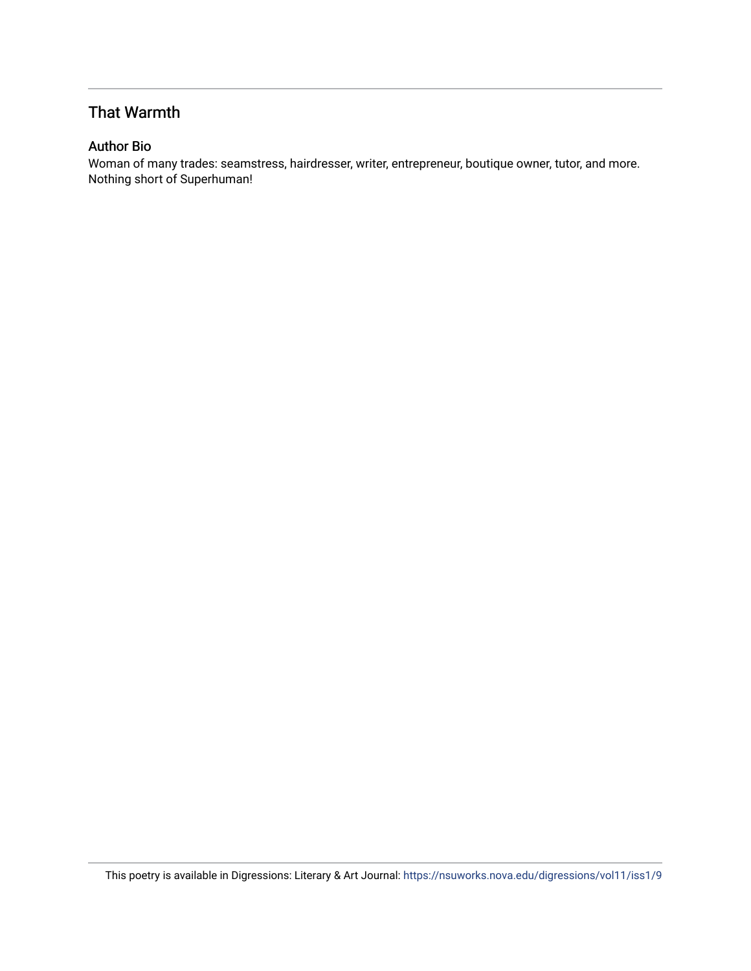## That Warmth

### Author Bio

Woman of many trades: seamstress, hairdresser, writer, entrepreneur, boutique owner, tutor, and more. Nothing short of Superhuman!